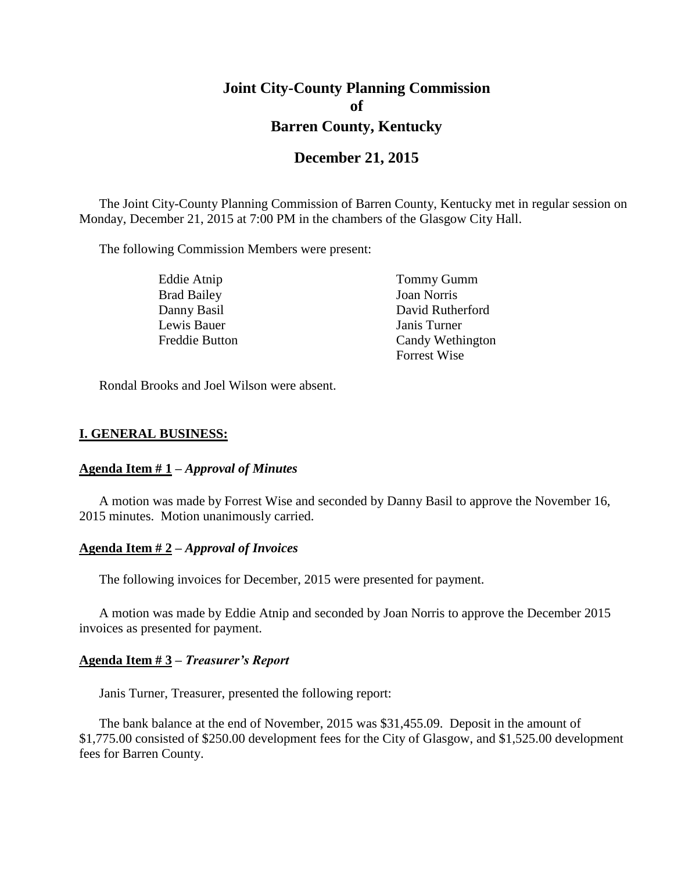# **Joint City-County Planning Commission of Barren County, Kentucky**

## **December 21, 2015**

The Joint City-County Planning Commission of Barren County, Kentucky met in regular session on Monday, December 21, 2015 at 7:00 PM in the chambers of the Glasgow City Hall.

The following Commission Members were present:

| Eddie Atnip        | Tommy Gumm          |
|--------------------|---------------------|
| <b>Brad Bailey</b> | <b>Joan Norris</b>  |
| Danny Basil        | David Rutherford    |
| Lewis Bauer        | Janis Turner        |
| Freddie Button     | Candy Wethington    |
|                    | <b>Forrest Wise</b> |

Rondal Brooks and Joel Wilson were absent.

#### **I. GENERAL BUSINESS:**

#### **Agenda Item # 1 –** *Approval of Minutes*

A motion was made by Forrest Wise and seconded by Danny Basil to approve the November 16, 2015 minutes. Motion unanimously carried.

#### **Agenda Item # 2 –** *Approval of Invoices*

The following invoices for December, 2015 were presented for payment.

A motion was made by Eddie Atnip and seconded by Joan Norris to approve the December 2015 invoices as presented for payment.

#### **Agenda Item # 3 –** *Treasurer's Report*

Janis Turner, Treasurer, presented the following report:

The bank balance at the end of November, 2015 was \$31,455.09. Deposit in the amount of \$1,775.00 consisted of \$250.00 development fees for the City of Glasgow, and \$1,525.00 development fees for Barren County.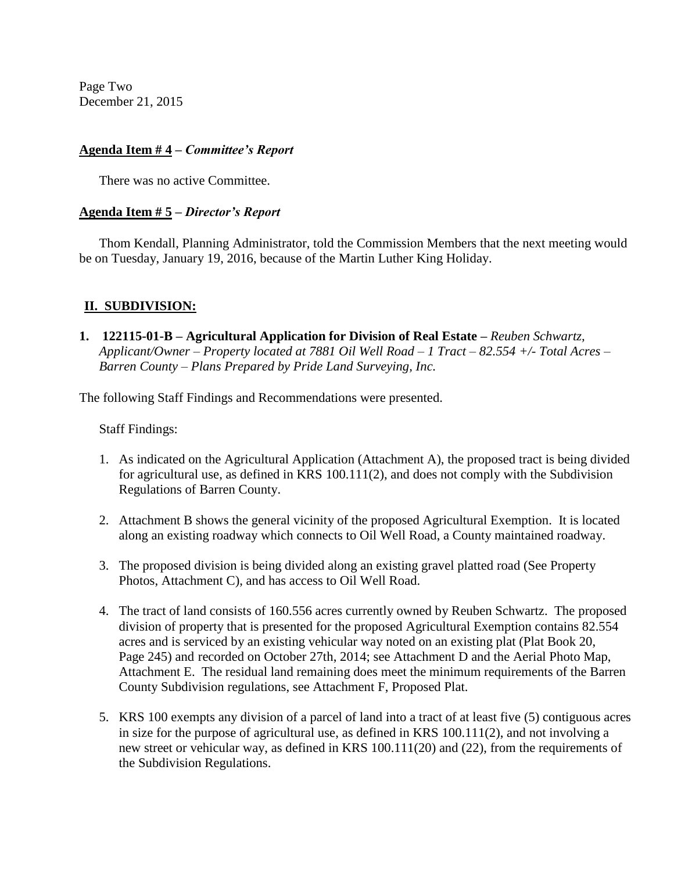Page Two December 21, 2015

### **Agenda Item # 4 –** *Committee's Report*

There was no active Committee.

### **Agenda Item # 5 –** *Director's Report*

Thom Kendall, Planning Administrator, told the Commission Members that the next meeting would be on Tuesday, January 19, 2016, because of the Martin Luther King Holiday.

### **II. SUBDIVISION:**

**1. 122115-01-B** – **Agricultural Application for Division of Real Estate** – *Reuben Schwartz*, *Applicant/Owner – Property located at 7881 Oil Well Road – 1 Tract – 82.554 +/- Total Acres – Barren County – Plans Prepared by Pride Land Surveying, Inc.*

The following Staff Findings and Recommendations were presented.

Staff Findings:

- 1. As indicated on the Agricultural Application (Attachment A), the proposed tract is being divided for agricultural use, as defined in KRS 100.111(2), and does not comply with the Subdivision Regulations of Barren County.
- 2. Attachment B shows the general vicinity of the proposed Agricultural Exemption. It is located along an existing roadway which connects to Oil Well Road, a County maintained roadway.
- 3. The proposed division is being divided along an existing gravel platted road (See Property Photos, Attachment C), and has access to Oil Well Road.
- 4. The tract of land consists of 160.556 acres currently owned by Reuben Schwartz. The proposed division of property that is presented for the proposed Agricultural Exemption contains 82.554 acres and is serviced by an existing vehicular way noted on an existing plat (Plat Book 20, Page 245) and recorded on October 27th, 2014; see Attachment D and the Aerial Photo Map, Attachment E. The residual land remaining does meet the minimum requirements of the Barren County Subdivision regulations, see Attachment F, Proposed Plat.
- 5. KRS 100 exempts any division of a parcel of land into a tract of at least five (5) contiguous acres in size for the purpose of agricultural use, as defined in KRS 100.111(2), and not involving a new street or vehicular way, as defined in KRS 100.111(20) and (22), from the requirements of the Subdivision Regulations.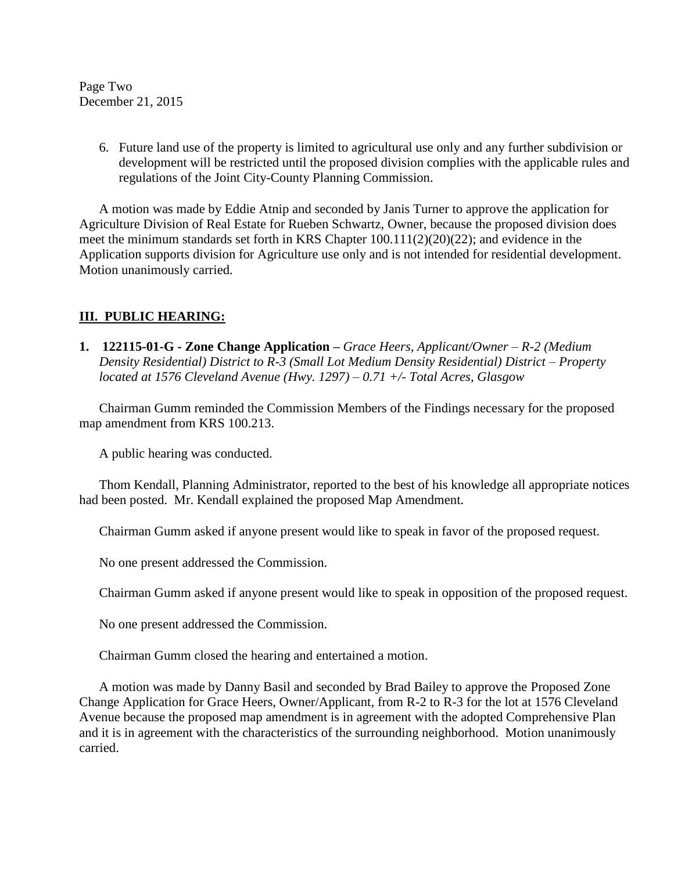Page Two December 21, 2015

> 6. Future land use of the property is limited to agricultural use only and any further subdivision or development will be restricted until the proposed division complies with the applicable rules and regulations of the Joint City-County Planning Commission.

A motion was made by Eddie Atnip and seconded by Janis Turner to approve the application for Agriculture Division of Real Estate for Rueben Schwartz, Owner, because the proposed division does meet the minimum standards set forth in KRS Chapter 100.111(2)(20)(22); and evidence in the Application supports division for Agriculture use only and is not intended for residential development. Motion unanimously carried.

# **III. PUBLIC HEARING:**

**1. 122115-01-G - Zone Change Application** *– Grace Heers, Applicant/Owner – R-2 (Medium Density Residential) District to R-3 (Small Lot Medium Density Residential) District – Property located at 1576 Cleveland Avenue (Hwy. 1297) – 0.71 +/- Total Acres, Glasgow*

Chairman Gumm reminded the Commission Members of the Findings necessary for the proposed map amendment from KRS 100.213.

A public hearing was conducted.

Thom Kendall, Planning Administrator, reported to the best of his knowledge all appropriate notices had been posted. Mr. Kendall explained the proposed Map Amendment.

Chairman Gumm asked if anyone present would like to speak in favor of the proposed request.

No one present addressed the Commission.

Chairman Gumm asked if anyone present would like to speak in opposition of the proposed request.

No one present addressed the Commission.

Chairman Gumm closed the hearing and entertained a motion.

A motion was made by Danny Basil and seconded by Brad Bailey to approve the Proposed Zone Change Application for Grace Heers, Owner/Applicant, from R-2 to R-3 for the lot at 1576 Cleveland Avenue because the proposed map amendment is in agreement with the adopted Comprehensive Plan and it is in agreement with the characteristics of the surrounding neighborhood. Motion unanimously carried.